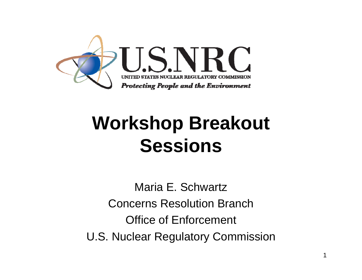

# **Workshop Breakout Sessions**

Maria E. SchwartzConcerns Resolution BranchOffice of Enforcement U.S. Nuclear Regulatory Commission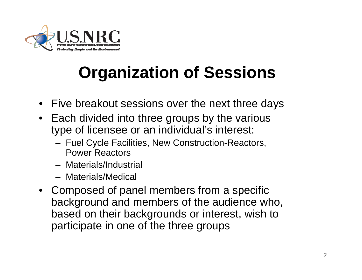

## **Organization of Sessions**

- Five breakout sessions over the next three days
- Each divided into three groups by the various type of licensee or an individual's interest:
	- Fuel Cycle Facilities, New Construction-Reactors, Power Reactors
	- Materials/Industrial
	- Materials/Medical
- Composed of panel members from a specific background and members of the audience who, based on their backgrounds or interest, wish to participate in one of the three groups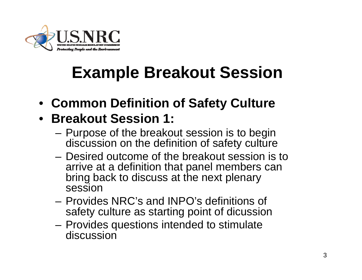

### **Example Breakout Session**

• **Common Definition of Safety Culture**

#### • **Breakout Session 1:**

- Purpose of the breakout session is to begin discussion on the definition of safety culture
- Desired outcome of the breakout session is to arrive at a definition that panel members can bring back to discuss at the next plenary session
- Provides NRC's and INPO's definitions of safety culture as starting point of dicussion
- – Provides questions intended to stimulate discussion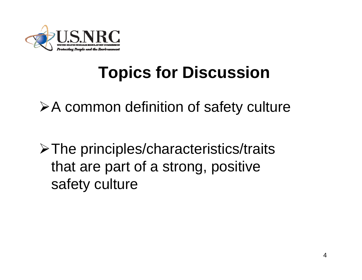

### **Topics for Discussion**

 $\triangleright$  A common definition of safety culture

¾The principles/characteristics/traits that are part of a strong, positive safety culture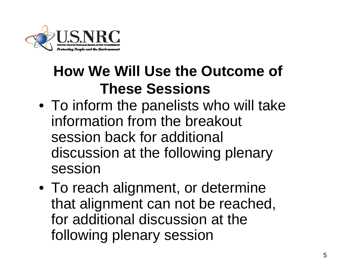

### **How We Will Use the Outcome of These Sessions**

- To inform the panelists who will take information from the breakout session back for additional discussion at the following plenary session
- To reach alignment, or determine that alignment can not be reached, for additional discussion at the following plenary session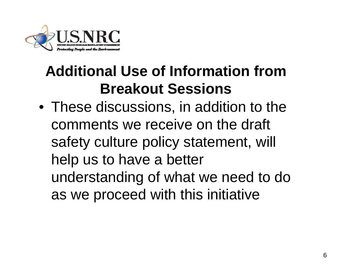

### **Additional Use of Information from Breakout Sessions**

• These discussions, in addition to the comments we receive on the draft safety culture policy statement, will help us to have a better understanding of what we need to do as we proceed with this initiative